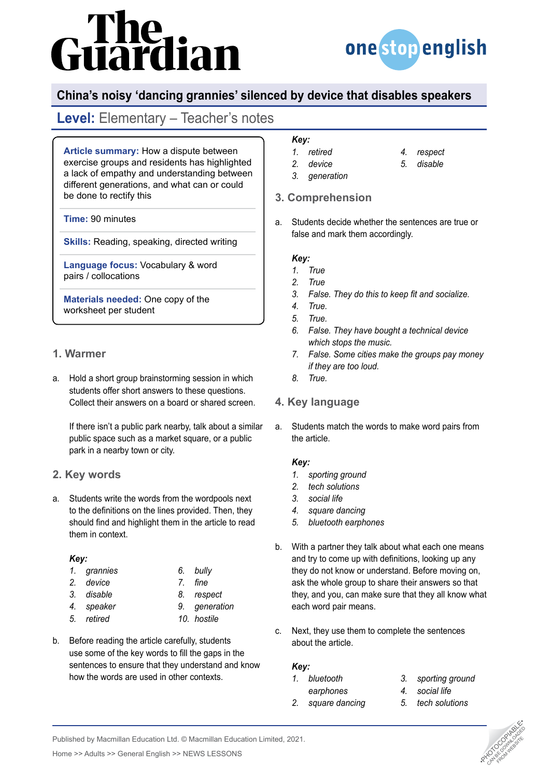# iardian



# **China's noisy 'dancing grannies' silenced by device that disables speakers**

# **Level:** Elementary – Teacher's notes

**Article summary:** How a dispute between exercise groups and residents has highlighted a lack of empathy and understanding between different generations, and what can or could be done to rectify this

**Time:** 90 minutes

**Skills:** Reading, speaking, directed writing

**Language focus:** Vocabulary & word pairs / collocations

**Materials needed:** One copy of the worksheet per student

## **1. Warmer**

a. Hold a short group brainstorming session in which students offer short answers to these questions. Collect their answers on a board or shared screen.

If there isn't a public park nearby, talk about a similar public space such as a market square, or a public park in a nearby town or city.

## **2. Key words**

a. Students write the words from the wordpools next to the definitions on the lines provided. Then, they should find and highlight them in the article to read them in context.

#### *Key:*

*1. grannies 2. device 3. disable 4. speaker 5. retired*

| grannies | 6. | bully       |
|----------|----|-------------|
| device   |    | 7. fine     |
| disable  |    | 8. respect  |
| speaker  | 9. | generation  |
| retired  |    | 10. hostile |
|          |    |             |

b. Before reading the article carefully, students use some of the key words to fill the gaps in the sentences to ensure that they understand and know how the words are used in other contexts.

## *Key:*

- *1. retired 2. device*
- *4. respect*
- *5. disable*
- *3. generation*

## **3. Comprehension**

a. Students decide whether the sentences are true or false and mark them accordingly.

#### *Key:*

- *1. True*
- *2. True*
- *3. False. They do this to keep fit and socialize.*
- *4. True.*
- *5. True.*
- *6. False. They have bought a technical device which stops the music.*
- *7. False. Some cities make the groups pay money if they are too loud.*
- *8. True.*

## **4. Key language**

a. Students match the words to make word pairs from the article.

#### *Key:*

- *1. sporting ground*
- *2. tech solutions*
- *3. social life*
- *4. square dancing*
- *5. bluetooth earphones*
- b. With a partner they talk about what each one means and try to come up with definitions, looking up any they do not know or understand. Before moving on, ask the whole group to share their answers so that they, and you, can make sure that they all know what each word pair means.
- c. Next, they use them to complete the sentences about the article.

#### *Key:*

- *1. bluetooth earphones 3. sporting ground 4. social life*
- *2. square dancing 5. tech solutions*



Published by Macmillan Education Ltd. © Macmillan Education Limited, 2021.